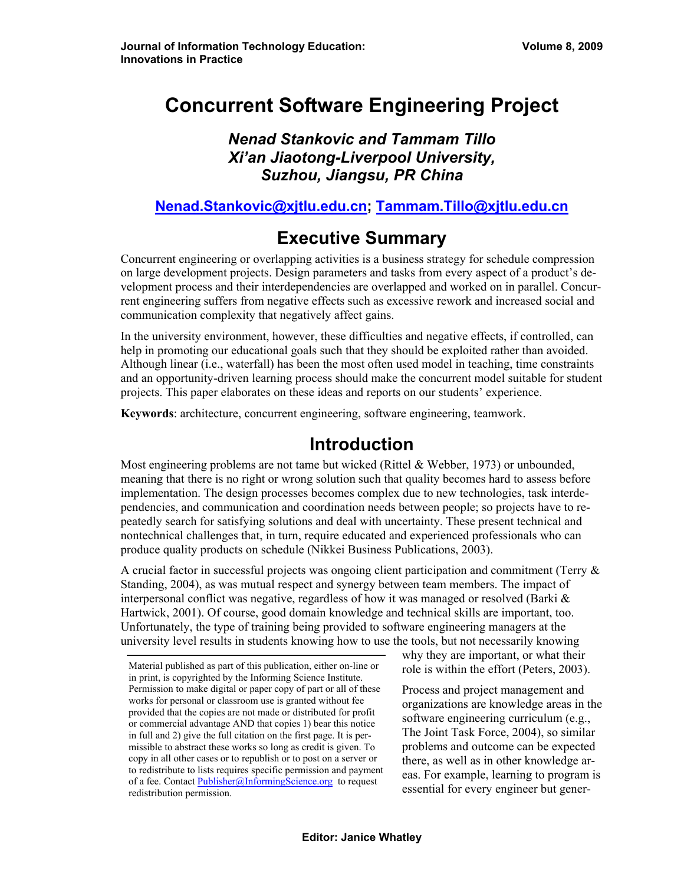# **Concurrent Software Engineering Project**

*Nenad Stankovic and Tammam Tillo Xi'an Jiaotong-Liverpool University, Suzhou, Jiangsu, PR China* 

**[Nenad.Stankovic@xjtlu.edu.cn;](mailto:Nenad.Stankovic@xjtlu.edu.cn) [Tammam.Tillo@xjtlu.edu.cn](mailto:Tammam.Tillo@xjtlu.edu.cn)**

# **Executive Summary**

Concurrent engineering or overlapping activities is a business strategy for schedule compression on large development projects. Design parameters and tasks from every aspect of a product's development process and their interdependencies are overlapped and worked on in parallel. Concurrent engineering suffers from negative effects such as excessive rework and increased social and communication complexity that negatively affect gains.

In the university environment, however, these difficulties and negative effects, if controlled, can help in promoting our educational goals such that they should be exploited rather than avoided. Although linear (i.e., waterfall) has been the most often used model in teaching, time constraints and an opportunity-driven learning process should make the concurrent model suitable for student projects. This paper elaborates on these ideas and reports on our students' experience.

**Keywords**: architecture, concurrent engineering, software engineering, teamwork.

## **Introduction**

Most engineering problems are not tame but wicked (Rittel  $&$  Webber, 1973) or unbounded, meaning that there is no right or wrong solution such that quality becomes hard to assess before implementation. The design processes becomes complex due to new technologies, task interdependencies, and communication and coordination needs between people; so projects have to repeatedly search for satisfying solutions and deal with uncertainty. These present technical and nontechnical challenges that, in turn, require educated and experienced professionals who can produce quality products on schedule (Nikkei Business Publications, 2003).

A crucial factor in successful projects was ongoing client participation and commitment (Terry & Standing, 2004), as was mutual respect and synergy between team members. The impact of interpersonal conflict was negative, regardless of how it was managed or resolved (Barki  $\&$ Hartwick, 2001). Of course, good domain knowledge and technical skills are important, too. Unfortunately, the type of training being provided to software engineering managers at the university level results in students knowing how to use the tools, but not necessarily knowing

why they are important, or what their role is within the effort (Peters, 2003).

Process and project management and organizations are knowledge areas in the software engineering curriculum (e.g., The Joint Task Force, 2004), so similar problems and outcome can be expected there, as well as in other knowledge areas. For example, learning to program is essential for every engineer but gener-

Material published as part of this publication, either on-line or in print, is copyrighted by the Informing Science Institute. Permission to make digital or paper copy of part or all of these works for personal or classroom use is granted without fee provided that the copies are not made or distributed for profit or commercial advantage AND that copies 1) bear this notice in full and 2) give the full citation on the first page. It is permissible to abstract these works so long as credit is given. To copy in all other cases or to republish or to post on a server or to redistribute to lists requires specific permission and payment of a fee. Contact [Publisher@InformingScience.org](mailto:Publisher@InformingScience.org) to request redistribution permission.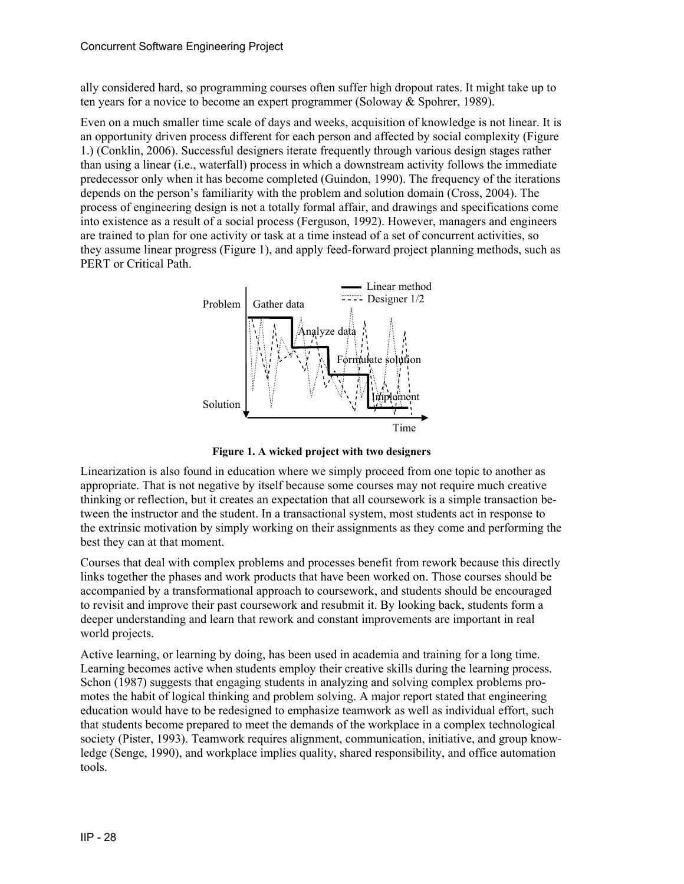ally considered hard, so programming courses often suffer high dropout rates. It might take up to ten years for a novice to become an expert programmer (Soloway & Spohrer, 1989).

Even on a much smaller time scale of days and weeks, acquisition of knowledge is not linear. It is an opportunity driven process different for each person and affected by social complexity ([Figure](#page-1-0)  [1](#page-1-0).) (Conklin, 2006). Successful designers iterate frequently through various design stages rather than using a linear (i.e., waterfall) process in which a downstream activity follows the immediate predecessor only when it has become completed (Guindon, 1990). The frequency of the iterations depends on the person's familiarity with the problem and solution domain (Cross, 2004). The process of engineering design is not a totally formal affair, and drawings and specifications come into existence as a result of a social process (Ferguson, 1992). However, managers and engineers are trained to plan for one activity or task at a time instead of a set of concurrent activities, so they assume linear progress [\(Figure 1](#page-1-0)), and apply feed-forward project planning methods, such as PERT or Critical Path.



**Figure 1. A wicked project with two designers** 

<span id="page-1-0"></span>Linearization is also found in education where we simply proceed from one topic to another as appropriate. That is not negative by itself because some courses may not require much creative thinking or reflection, but it creates an expectation that all coursework is a simple transaction between the instructor and the student. In a transactional system, most students act in response to the extrinsic motivation by simply working on their assignments as they come and performing the best they can at that moment.

Courses that deal with complex problems and processes benefit from rework because this directly links together the phases and work products that have been worked on. Those courses should be accompanied by a transformational approach to coursework, and students should be encouraged to revisit and improve their past coursework and resubmit it. By looking back, students form a deeper understanding and learn that rework and constant improvements are important in real world projects.

Active learning, or learning by doing, has been used in academia and training for a long time. Learning becomes active when students employ their creative skills during the learning process. Schon (1987) suggests that engaging students in analyzing and solving complex problems promotes the habit of logical thinking and problem solving. A major report stated that engineering education would have to be redesigned to emphasize teamwork as well as individual effort, such that students become prepared to meet the demands of the workplace in a complex technological society (Pister, 1993). Teamwork requires alignment, communication, initiative, and group knowledge (Senge, 1990), and workplace implies quality, shared responsibility, and office automation tools.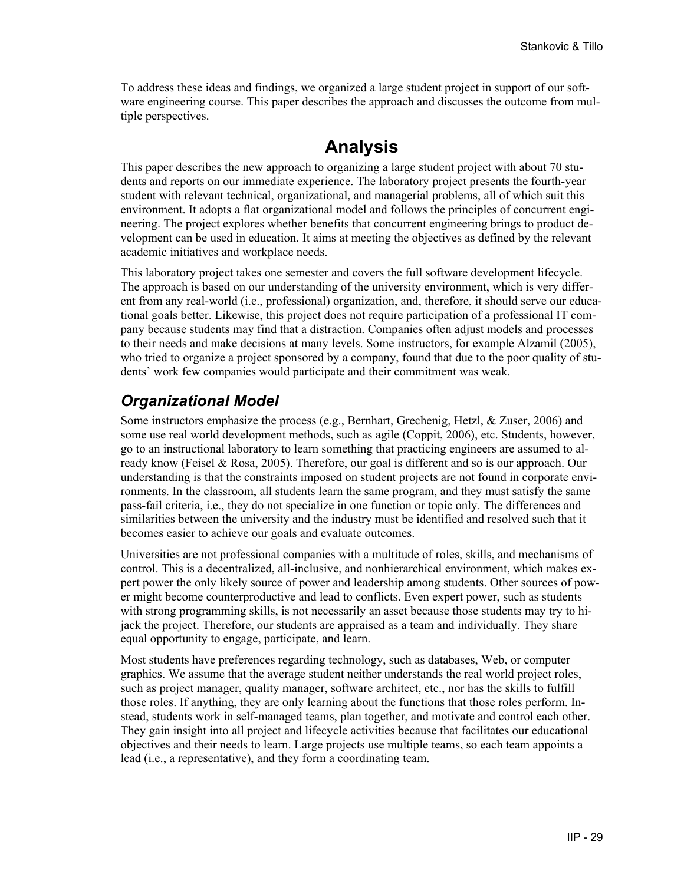To address these ideas and findings, we organized a large student project in support of our software engineering course. This paper describes the approach and discusses the outcome from multiple perspectives.

#### **Analysis**

This paper describes the new approach to organizing a large student project with about 70 students and reports on our immediate experience. The laboratory project presents the fourth-year student with relevant technical, organizational, and managerial problems, all of which suit this environment. It adopts a flat organizational model and follows the principles of concurrent engineering. The project explores whether benefits that concurrent engineering brings to product development can be used in education. It aims at meeting the objectives as defined by the relevant academic initiatives and workplace needs.

This laboratory project takes one semester and covers the full software development lifecycle. The approach is based on our understanding of the university environment, which is very different from any real-world (i.e., professional) organization, and, therefore, it should serve our educational goals better. Likewise, this project does not require participation of a professional IT company because students may find that a distraction. Companies often adjust models and processes to their needs and make decisions at many levels. Some instructors, for example Alzamil (2005), who tried to organize a project sponsored by a company, found that due to the poor quality of students' work few companies would participate and their commitment was weak.

#### *Organizational Model*

Some instructors emphasize the process (e.g., Bernhart, Grechenig, Hetzl, & Zuser, 2006) and some use real world development methods, such as agile (Coppit, 2006), etc. Students, however, go to an instructional laboratory to learn something that practicing engineers are assumed to already know (Feisel & Rosa, 2005). Therefore, our goal is different and so is our approach. Our understanding is that the constraints imposed on student projects are not found in corporate environments. In the classroom, all students learn the same program, and they must satisfy the same pass-fail criteria, i.e., they do not specialize in one function or topic only. The differences and similarities between the university and the industry must be identified and resolved such that it becomes easier to achieve our goals and evaluate outcomes.

Universities are not professional companies with a multitude of roles, skills, and mechanisms of control. This is a decentralized, all-inclusive, and nonhierarchical environment, which makes expert power the only likely source of power and leadership among students. Other sources of power might become counterproductive and lead to conflicts. Even expert power, such as students with strong programming skills, is not necessarily an asset because those students may try to hijack the project. Therefore, our students are appraised as a team and individually. They share equal opportunity to engage, participate, and learn.

Most students have preferences regarding technology, such as databases, Web, or computer graphics. We assume that the average student neither understands the real world project roles, such as project manager, quality manager, software architect, etc., nor has the skills to fulfill those roles. If anything, they are only learning about the functions that those roles perform. Instead, students work in self-managed teams, plan together, and motivate and control each other. They gain insight into all project and lifecycle activities because that facilitates our educational objectives and their needs to learn. Large projects use multiple teams, so each team appoints a lead (i.e., a representative), and they form a coordinating team.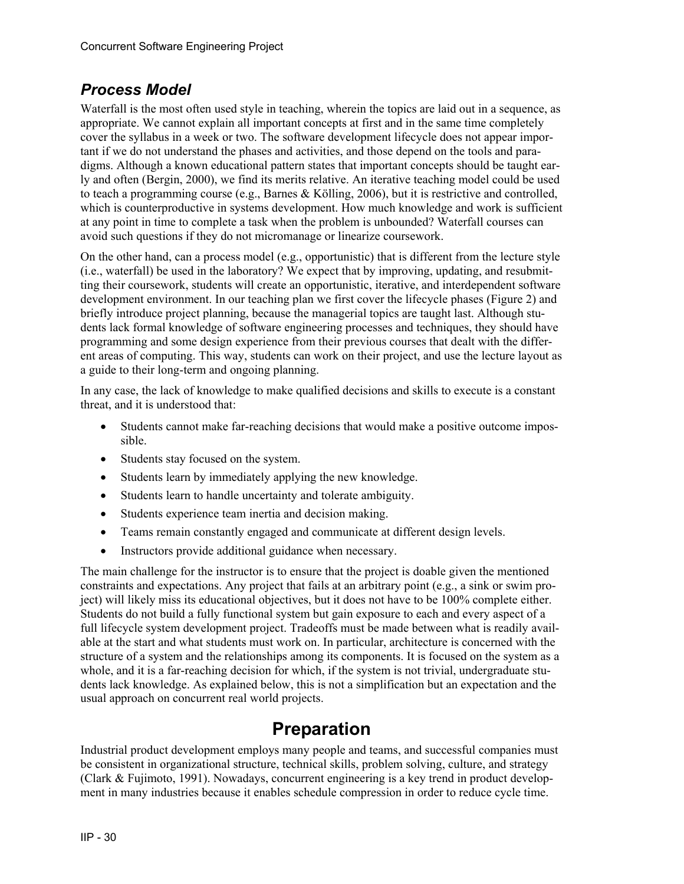#### *Process Model*

Waterfall is the most often used style in teaching, wherein the topics are laid out in a sequence, as appropriate. We cannot explain all important concepts at first and in the same time completely cover the syllabus in a week or two. The software development lifecycle does not appear important if we do not understand the phases and activities, and those depend on the tools and paradigms. Although a known educational pattern states that important concepts should be taught early and often (Bergin, 2000), we find its merits relative. An iterative teaching model could be used to teach a programming course (e.g., Barnes & Kölling, 2006), but it is restrictive and controlled, which is counterproductive in systems development. How much knowledge and work is sufficient at any point in time to complete a task when the problem is unbounded? Waterfall courses can avoid such questions if they do not micromanage or linearize coursework.

On the other hand, can a process model (e.g., opportunistic) that is different from the lecture style (i.e., waterfall) be used in the laboratory? We expect that by improving, updating, and resubmitting their coursework, students will create an opportunistic, iterative, and interdependent software development environment. In our teaching plan we first cover the lifecycle phases [\(Figure 2](#page-4-0)) and briefly introduce project planning, because the managerial topics are taught last. Although students lack formal knowledge of software engineering processes and techniques, they should have programming and some design experience from their previous courses that dealt with the different areas of computing. This way, students can work on their project, and use the lecture layout as a guide to their long-term and ongoing planning.

In any case, the lack of knowledge to make qualified decisions and skills to execute is a constant threat, and it is understood that:

- Students cannot make far-reaching decisions that would make a positive outcome impossible.
- Students stay focused on the system.
- Students learn by immediately applying the new knowledge.
- Students learn to handle uncertainty and tolerate ambiguity.
- Students experience team inertia and decision making.
- Teams remain constantly engaged and communicate at different design levels.
- Instructors provide additional guidance when necessary.

The main challenge for the instructor is to ensure that the project is doable given the mentioned constraints and expectations. Any project that fails at an arbitrary point (e.g., a sink or swim project) will likely miss its educational objectives, but it does not have to be 100% complete either. Students do not build a fully functional system but gain exposure to each and every aspect of a full lifecycle system development project. Tradeoffs must be made between what is readily available at the start and what students must work on. In particular, architecture is concerned with the structure of a system and the relationships among its components. It is focused on the system as a whole, and it is a far-reaching decision for which, if the system is not trivial, undergraduate students lack knowledge. As explained below, this is not a simplification but an expectation and the usual approach on concurrent real world projects.

# **Preparation**

Industrial product development employs many people and teams, and successful companies must be consistent in organizational structure, technical skills, problem solving, culture, and strategy (Clark & Fujimoto, 1991). Nowadays, concurrent engineering is a key trend in product development in many industries because it enables schedule compression in order to reduce cycle time.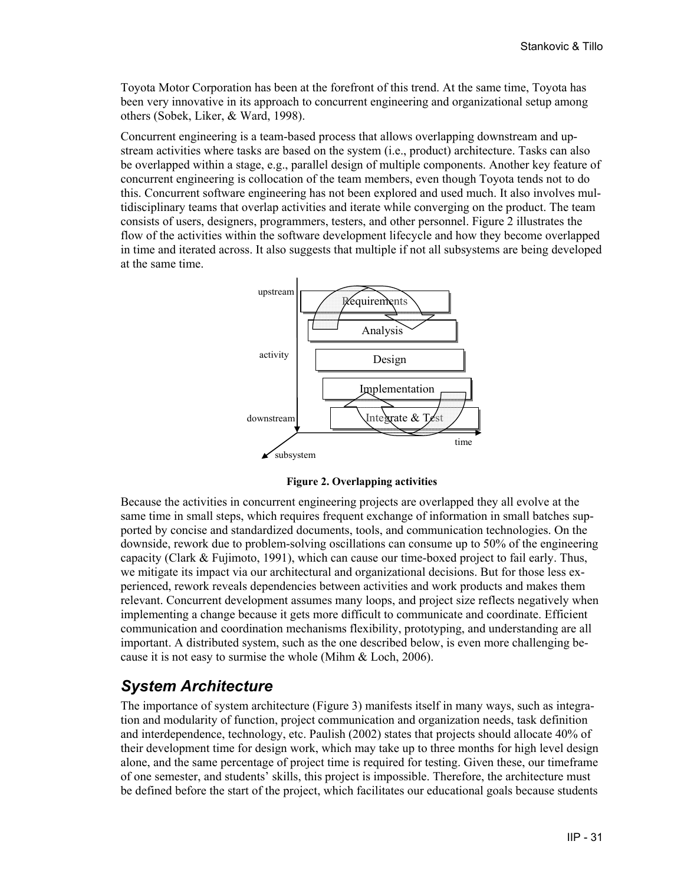Toyota Motor Corporation has been at the forefront of this trend. At the same time, Toyota has been very innovative in its approach to concurrent engineering and organizational setup among others (Sobek, Liker, & Ward, 1998).

Concurrent engineering is a team-based process that allows overlapping downstream and upstream activities where tasks are based on the system (i.e., product) architecture. Tasks can also be overlapped within a stage, e.g., parallel design of multiple components. Another key feature of concurrent engineering is collocation of the team members, even though Toyota tends not to do this. Concurrent software engineering has not been explored and used much. It also involves multidisciplinary teams that overlap activities and iterate while converging on the product. The team consists of users, designers, programmers, testers, and other personnel. [Figure 2](#page-4-0) illustrates the flow of the activities within the software development lifecycle and how they become overlapped in time and iterated across. It also suggests that multiple if not all subsystems are being developed at the same time.



**Figure 2. Overlapping activities** 

<span id="page-4-0"></span>Because the activities in concurrent engineering projects are overlapped they all evolve at the same time in small steps, which requires frequent exchange of information in small batches supported by concise and standardized documents, tools, and communication technologies. On the downside, rework due to problem-solving oscillations can consume up to 50% of the engineering capacity (Clark & Fujimoto, 1991), which can cause our time-boxed project to fail early. Thus, we mitigate its impact via our architectural and organizational decisions. But for those less experienced, rework reveals dependencies between activities and work products and makes them relevant. Concurrent development assumes many loops, and project size reflects negatively when implementing a change because it gets more difficult to communicate and coordinate. Efficient communication and coordination mechanisms flexibility, prototyping, and understanding are all important. A distributed system, such as the one described below, is even more challenging because it is not easy to surmise the whole (Mihm & Loch, 2006).

#### *System Architecture*

The importance of system architecture ([Figure 3\)](#page-5-0) manifests itself in many ways, such as integration and modularity of function, project communication and organization needs, task definition and interdependence, technology, etc. Paulish (2002) states that projects should allocate 40% of their development time for design work, which may take up to three months for high level design alone, and the same percentage of project time is required for testing. Given these, our timeframe of one semester, and students' skills, this project is impossible. Therefore, the architecture must be defined before the start of the project, which facilitates our educational goals because students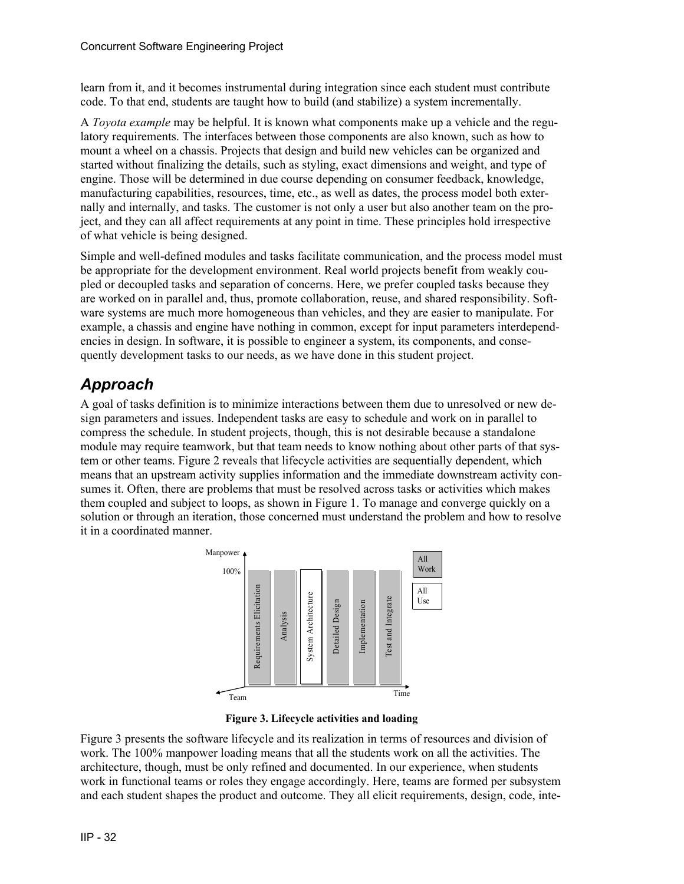learn from it, and it becomes instrumental during integration since each student must contribute code. To that end, students are taught how to build (and stabilize) a system incrementally.

A *Toyota example* may be helpful. It is known what components make up a vehicle and the regulatory requirements. The interfaces between those components are also known, such as how to mount a wheel on a chassis. Projects that design and build new vehicles can be organized and started without finalizing the details, such as styling, exact dimensions and weight, and type of engine. Those will be determined in due course depending on consumer feedback, knowledge, manufacturing capabilities, resources, time, etc., as well as dates, the process model both externally and internally, and tasks. The customer is not only a user but also another team on the project, and they can all affect requirements at any point in time. These principles hold irrespective of what vehicle is being designed.

Simple and well-defined modules and tasks facilitate communication, and the process model must be appropriate for the development environment. Real world projects benefit from weakly coupled or decoupled tasks and separation of concerns. Here, we prefer coupled tasks because they are worked on in parallel and, thus, promote collaboration, reuse, and shared responsibility. Software systems are much more homogeneous than vehicles, and they are easier to manipulate. For example, a chassis and engine have nothing in common, except for input parameters interdependencies in design. In software, it is possible to engineer a system, its components, and consequently development tasks to our needs, as we have done in this student project.

### *Approach*

A goal of tasks definition is to minimize interactions between them due to unresolved or new design parameters and issues. Independent tasks are easy to schedule and work on in parallel to compress the schedule. In student projects, though, this is not desirable because a standalone module may require teamwork, but that team needs to know nothing about other parts of that system or other teams. [Figure 2](#page-4-0) reveals that lifecycle activities are sequentially dependent, which means that an upstream activity supplies information and the immediate downstream activity consumes it. Often, there are problems that must be resolved across tasks or activities which makes them coupled and subject to loops, as shown in [Figure 1](#page-1-0). To manage and converge quickly on a solution or through an iteration, those concerned must understand the problem and how to resolve it in a coordinated manner.



**Figure 3. Lifecycle activities and loading** 

<span id="page-5-0"></span>[Figure 3](#page-5-0) presents the software lifecycle and its realization in terms of resources and division of work. The 100% manpower loading means that all the students work on all the activities. The architecture, though, must be only refined and documented. In our experience, when students work in functional teams or roles they engage accordingly. Here, teams are formed per subsystem and each student shapes the product and outcome. They all elicit requirements, design, code, inte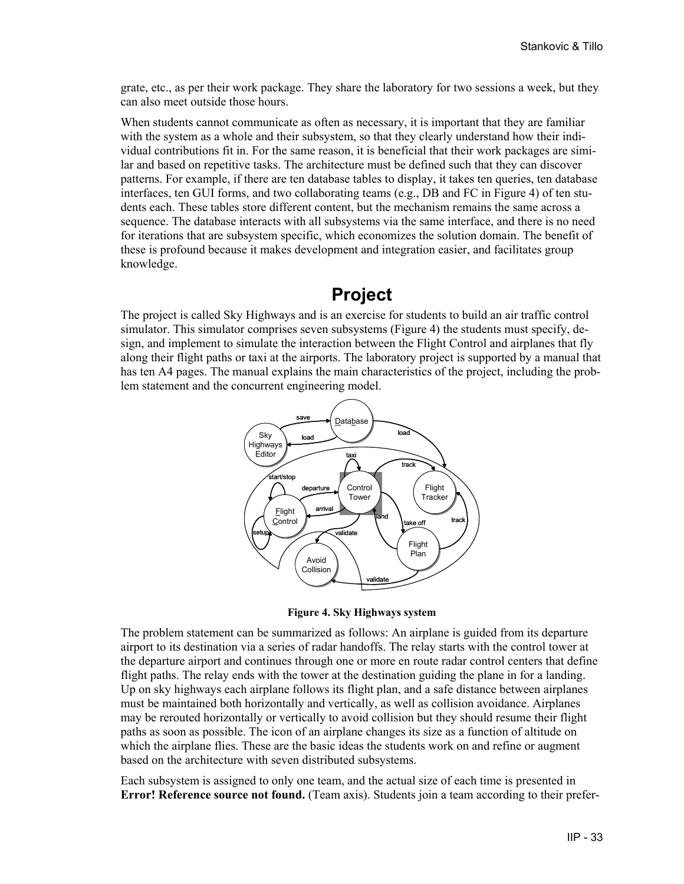grate, etc., as per their work package. They share the laboratory for two sessions a week, but they can also meet outside those hours.

When students cannot communicate as often as necessary, it is important that they are familiar with the system as a whole and their subsystem, so that they clearly understand how their individual contributions fit in. For the same reason, it is beneficial that their work packages are similar and based on repetitive tasks. The architecture must be defined such that they can discover patterns. For example, if there are ten database tables to display, it takes ten queries, ten database interfaces, ten GUI forms, and two collaborating teams (e.g., DB and FC in [Figure 4](#page-6-0)) of ten students each. These tables store different content, but the mechanism remains the same across a sequence. The database interacts with all subsystems via the same interface, and there is no need for iterations that are subsystem specific, which economizes the solution domain. The benefit of these is profound because it makes development and integration easier, and facilitates group knowledge.

### **Project**

The project is called Sky Highways and is an exercise for students to build an air traffic control simulator. This simulator comprises seven subsystems [\(Figure 4](#page-6-0)) the students must specify, design, and implement to simulate the interaction between the Flight Control and airplanes that fly along their flight paths or taxi at the airports. The laboratory project is supported by a manual that has ten A4 pages. The manual explains the main characteristics of the project, including the problem statement and the concurrent engineering model.



**Figure 4. Sky Highways system** 

<span id="page-6-0"></span>The problem statement can be summarized as follows: An airplane is guided from its departure airport to its destination via a series of radar handoffs. The relay starts with the control tower at the departure airport and continues through one or more en route radar control centers that define flight paths. The relay ends with the tower at the destination guiding the plane in for a landing. Up on sky highways each airplane follows its flight plan, and a safe distance between airplanes must be maintained both horizontally and vertically, as well as collision avoidance. Airplanes may be rerouted horizontally or vertically to avoid collision but they should resume their flight paths as soon as possible. The icon of an airplane changes its size as a function of altitude on which the airplane flies. These are the basic ideas the students work on and refine or augment based on the architecture with seven distributed subsystems.

Each subsystem is assigned to only one team, and the actual size of each time is presented in **Error! Reference source not found.** (Team axis). Students join a team according to their prefer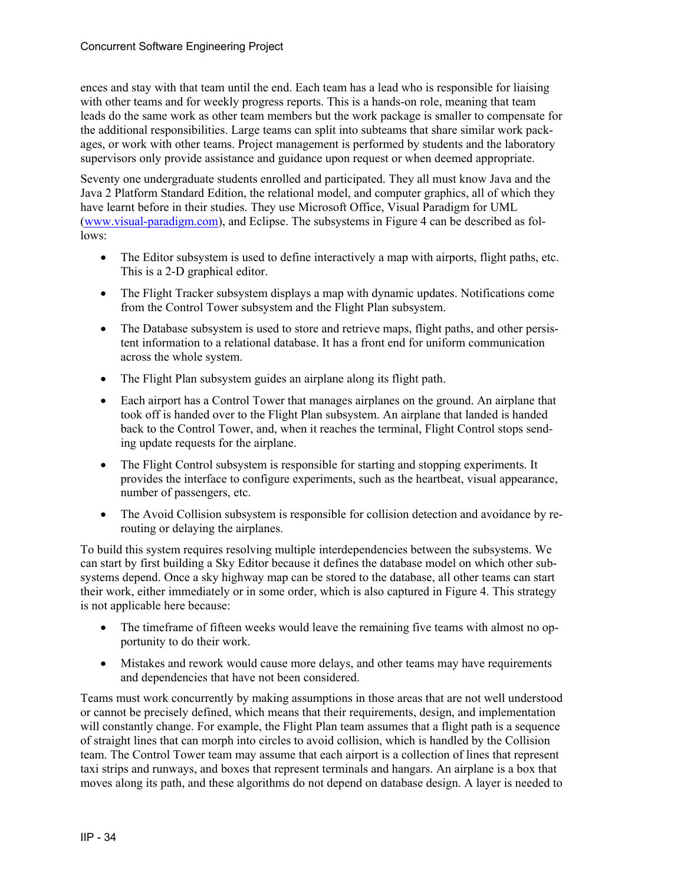ences and stay with that team until the end. Each team has a lead who is responsible for liaising with other teams and for weekly progress reports. This is a hands-on role, meaning that team leads do the same work as other team members but the work package is smaller to compensate for the additional responsibilities. Large teams can split into subteams that share similar work packages, or work with other teams. Project management is performed by students and the laboratory supervisors only provide assistance and guidance upon request or when deemed appropriate.

Seventy one undergraduate students enrolled and participated. They all must know Java and the Java 2 Platform Standard Edition, the relational model, and computer graphics, all of which they have learnt before in their studies. They use Microsoft Office, Visual Paradigm for UML ([www.visual-paradigm.com](http://www.visual-paradigm.com/)), and Eclipse. The subsystems in [Figure 4](#page-6-0) can be described as follows:

- The Editor subsystem is used to define interactively a map with airports, flight paths, etc. This is a 2-D graphical editor.
- The Flight Tracker subsystem displays a map with dynamic updates. Notifications come from the Control Tower subsystem and the Flight Plan subsystem.
- The Database subsystem is used to store and retrieve maps, flight paths, and other persistent information to a relational database. It has a front end for uniform communication across the whole system.
- The Flight Plan subsystem guides an airplane along its flight path.
- Each airport has a Control Tower that manages airplanes on the ground. An airplane that took off is handed over to the Flight Plan subsystem. An airplane that landed is handed back to the Control Tower, and, when it reaches the terminal, Flight Control stops sending update requests for the airplane.
- The Flight Control subsystem is responsible for starting and stopping experiments. It provides the interface to configure experiments, such as the heartbeat, visual appearance, number of passengers, etc.
- The Avoid Collision subsystem is responsible for collision detection and avoidance by rerouting or delaying the airplanes.

To build this system requires resolving multiple interdependencies between the subsystems. We can start by first building a Sky Editor because it defines the database model on which other subsystems depend. Once a sky highway map can be stored to the database, all other teams can start their work, either immediately or in some order, which is also captured in [Figure 4](#page-6-0). This strategy is not applicable here because:

- The timeframe of fifteen weeks would leave the remaining five teams with almost no opportunity to do their work.
- Mistakes and rework would cause more delays, and other teams may have requirements and dependencies that have not been considered.

Teams must work concurrently by making assumptions in those areas that are not well understood or cannot be precisely defined, which means that their requirements, design, and implementation will constantly change. For example, the Flight Plan team assumes that a flight path is a sequence of straight lines that can morph into circles to avoid collision, which is handled by the Collision team. The Control Tower team may assume that each airport is a collection of lines that represent taxi strips and runways, and boxes that represent terminals and hangars. An airplane is a box that moves along its path, and these algorithms do not depend on database design. A layer is needed to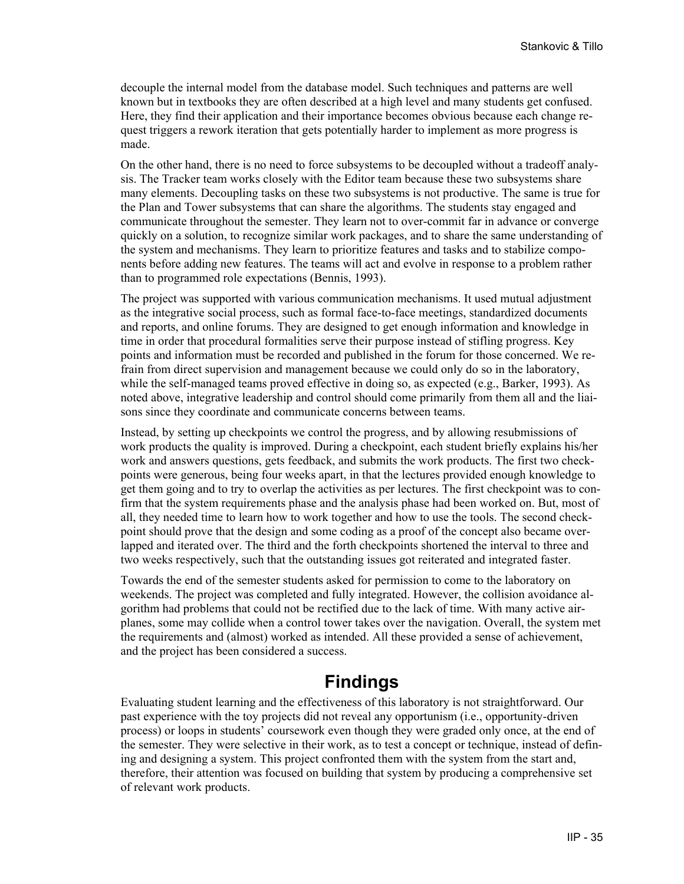decouple the internal model from the database model. Such techniques and patterns are well known but in textbooks they are often described at a high level and many students get confused. Here, they find their application and their importance becomes obvious because each change request triggers a rework iteration that gets potentially harder to implement as more progress is made.

On the other hand, there is no need to force subsystems to be decoupled without a tradeoff analysis. The Tracker team works closely with the Editor team because these two subsystems share many elements. Decoupling tasks on these two subsystems is not productive. The same is true for the Plan and Tower subsystems that can share the algorithms. The students stay engaged and communicate throughout the semester. They learn not to over-commit far in advance or converge quickly on a solution, to recognize similar work packages, and to share the same understanding of the system and mechanisms. They learn to prioritize features and tasks and to stabilize components before adding new features. The teams will act and evolve in response to a problem rather than to programmed role expectations (Bennis, 1993).

The project was supported with various communication mechanisms. It used mutual adjustment as the integrative social process, such as formal face-to-face meetings, standardized documents and reports, and online forums. They are designed to get enough information and knowledge in time in order that procedural formalities serve their purpose instead of stifling progress. Key points and information must be recorded and published in the forum for those concerned. We refrain from direct supervision and management because we could only do so in the laboratory, while the self-managed teams proved effective in doing so, as expected (e.g., Barker, 1993). As noted above, integrative leadership and control should come primarily from them all and the liaisons since they coordinate and communicate concerns between teams.

Instead, by setting up checkpoints we control the progress, and by allowing resubmissions of work products the quality is improved. During a checkpoint, each student briefly explains his/her work and answers questions, gets feedback, and submits the work products. The first two checkpoints were generous, being four weeks apart, in that the lectures provided enough knowledge to get them going and to try to overlap the activities as per lectures. The first checkpoint was to confirm that the system requirements phase and the analysis phase had been worked on. But, most of all, they needed time to learn how to work together and how to use the tools. The second checkpoint should prove that the design and some coding as a proof of the concept also became overlapped and iterated over. The third and the forth checkpoints shortened the interval to three and two weeks respectively, such that the outstanding issues got reiterated and integrated faster.

Towards the end of the semester students asked for permission to come to the laboratory on weekends. The project was completed and fully integrated. However, the collision avoidance algorithm had problems that could not be rectified due to the lack of time. With many active airplanes, some may collide when a control tower takes over the navigation. Overall, the system met the requirements and (almost) worked as intended. All these provided a sense of achievement, and the project has been considered a success.

## **Findings**

Evaluating student learning and the effectiveness of this laboratory is not straightforward. Our past experience with the toy projects did not reveal any opportunism (i.e., opportunity-driven process) or loops in students' coursework even though they were graded only once, at the end of the semester. They were selective in their work, as to test a concept or technique, instead of defining and designing a system. This project confronted them with the system from the start and, therefore, their attention was focused on building that system by producing a comprehensive set of relevant work products.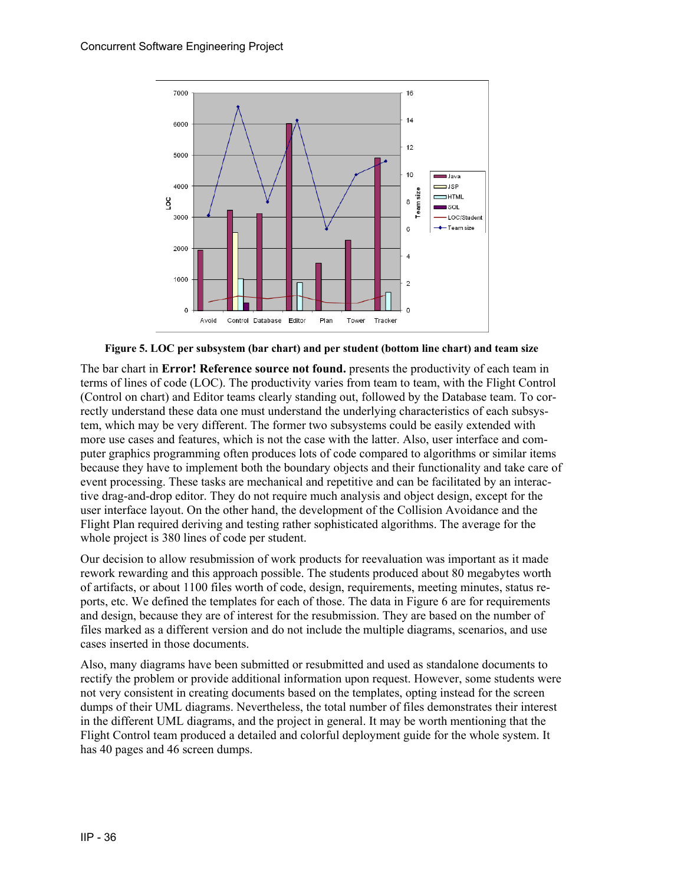

**Figure 5. LOC per subsystem (bar chart) and per student (bottom line chart) and team size** 

The bar chart in **Error! Reference source not found.** presents the productivity of each team in terms of lines of code (LOC). The productivity varies from team to team, with the Flight Control (Control on chart) and Editor teams clearly standing out, followed by the Database team. To correctly understand these data one must understand the underlying characteristics of each subsystem, which may be very different. The former two subsystems could be easily extended with more use cases and features, which is not the case with the latter. Also, user interface and computer graphics programming often produces lots of code compared to algorithms or similar items because they have to implement both the boundary objects and their functionality and take care of event processing. These tasks are mechanical and repetitive and can be facilitated by an interactive drag-and-drop editor. They do not require much analysis and object design, except for the user interface layout. On the other hand, the development of the Collision Avoidance and the Flight Plan required deriving and testing rather sophisticated algorithms. The average for the whole project is 380 lines of code per student.

Our decision to allow resubmission of work products for reevaluation was important as it made rework rewarding and this approach possible. The students produced about 80 megabytes worth of artifacts, or about 1100 files worth of code, design, requirements, meeting minutes, status reports, etc. We defined the templates for each of those. The data in [Figure 6](#page-10-0) are for requirements and design, because they are of interest for the resubmission. They are based on the number of files marked as a different version and do not include the multiple diagrams, scenarios, and use cases inserted in those documents.

Also, many diagrams have been submitted or resubmitted and used as standalone documents to rectify the problem or provide additional information upon request. However, some students were not very consistent in creating documents based on the templates, opting instead for the screen dumps of their UML diagrams. Nevertheless, the total number of files demonstrates their interest in the different UML diagrams, and the project in general. It may be worth mentioning that the Flight Control team produced a detailed and colorful deployment guide for the whole system. It has 40 pages and 46 screen dumps.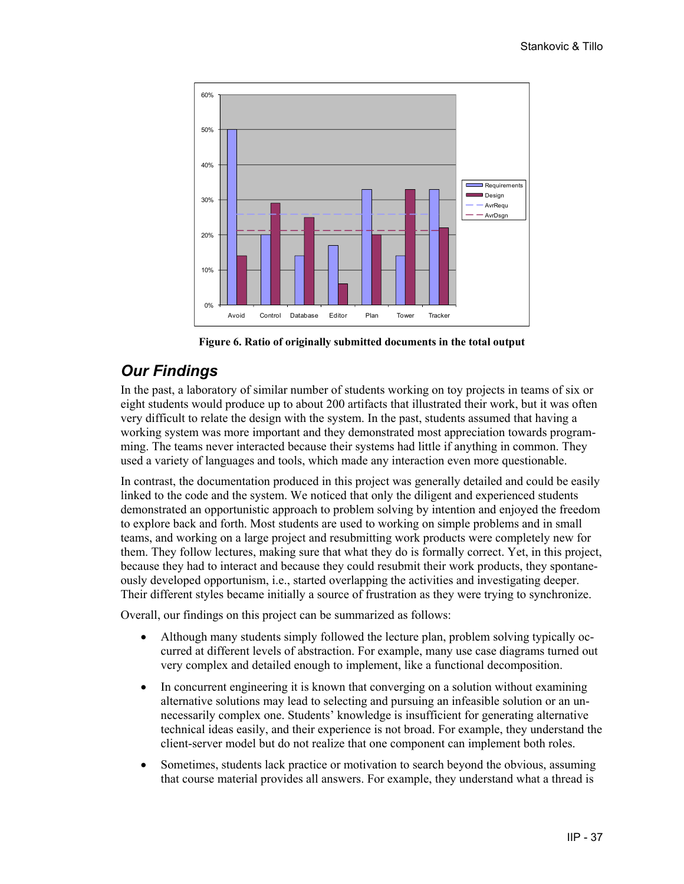

**Figure 6. Ratio of originally submitted documents in the total output** 

#### <span id="page-10-0"></span>*Our Findings*

In the past, a laboratory of similar number of students working on toy projects in teams of six or eight students would produce up to about 200 artifacts that illustrated their work, but it was often very difficult to relate the design with the system. In the past, students assumed that having a working system was more important and they demonstrated most appreciation towards programming. The teams never interacted because their systems had little if anything in common. They used a variety of languages and tools, which made any interaction even more questionable.

In contrast, the documentation produced in this project was generally detailed and could be easily linked to the code and the system. We noticed that only the diligent and experienced students demonstrated an opportunistic approach to problem solving by intention and enjoyed the freedom to explore back and forth. Most students are used to working on simple problems and in small teams, and working on a large project and resubmitting work products were completely new for them. They follow lectures, making sure that what they do is formally correct. Yet, in this project, because they had to interact and because they could resubmit their work products, they spontaneously developed opportunism, i.e., started overlapping the activities and investigating deeper. Their different styles became initially a source of frustration as they were trying to synchronize.

Overall, our findings on this project can be summarized as follows:

- Although many students simply followed the lecture plan, problem solving typically occurred at different levels of abstraction. For example, many use case diagrams turned out very complex and detailed enough to implement, like a functional decomposition.
- In concurrent engineering it is known that converging on a solution without examining alternative solutions may lead to selecting and pursuing an infeasible solution or an unnecessarily complex one. Students' knowledge is insufficient for generating alternative technical ideas easily, and their experience is not broad. For example, they understand the client-server model but do not realize that one component can implement both roles.
- Sometimes, students lack practice or motivation to search beyond the obvious, assuming that course material provides all answers. For example, they understand what a thread is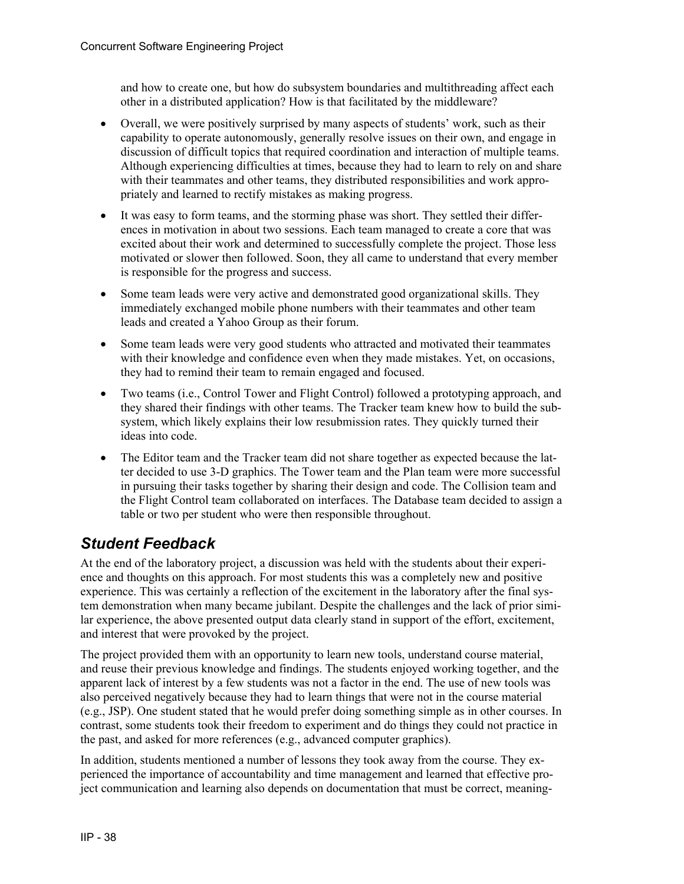and how to create one, but how do subsystem boundaries and multithreading affect each other in a distributed application? How is that facilitated by the middleware?

- Overall, we were positively surprised by many aspects of students' work, such as their capability to operate autonomously, generally resolve issues on their own, and engage in discussion of difficult topics that required coordination and interaction of multiple teams. Although experiencing difficulties at times, because they had to learn to rely on and share with their teammates and other teams, they distributed responsibilities and work appropriately and learned to rectify mistakes as making progress.
- It was easy to form teams, and the storming phase was short. They settled their differences in motivation in about two sessions. Each team managed to create a core that was excited about their work and determined to successfully complete the project. Those less motivated or slower then followed. Soon, they all came to understand that every member is responsible for the progress and success.
- Some team leads were very active and demonstrated good organizational skills. They immediately exchanged mobile phone numbers with their teammates and other team leads and created a Yahoo Group as their forum.
- Some team leads were very good students who attracted and motivated their teammates with their knowledge and confidence even when they made mistakes. Yet, on occasions, they had to remind their team to remain engaged and focused.
- Two teams (i.e., Control Tower and Flight Control) followed a prototyping approach, and they shared their findings with other teams. The Tracker team knew how to build the subsystem, which likely explains their low resubmission rates. They quickly turned their ideas into code.
- The Editor team and the Tracker team did not share together as expected because the latter decided to use 3-D graphics. The Tower team and the Plan team were more successful in pursuing their tasks together by sharing their design and code. The Collision team and the Flight Control team collaborated on interfaces. The Database team decided to assign a table or two per student who were then responsible throughout.

#### *Student Feedback*

At the end of the laboratory project, a discussion was held with the students about their experience and thoughts on this approach. For most students this was a completely new and positive experience. This was certainly a reflection of the excitement in the laboratory after the final system demonstration when many became jubilant. Despite the challenges and the lack of prior similar experience, the above presented output data clearly stand in support of the effort, excitement, and interest that were provoked by the project.

The project provided them with an opportunity to learn new tools, understand course material, and reuse their previous knowledge and findings. The students enjoyed working together, and the apparent lack of interest by a few students was not a factor in the end. The use of new tools was also perceived negatively because they had to learn things that were not in the course material (e.g., JSP). One student stated that he would prefer doing something simple as in other courses. In contrast, some students took their freedom to experiment and do things they could not practice in the past, and asked for more references (e.g., advanced computer graphics).

In addition, students mentioned a number of lessons they took away from the course. They experienced the importance of accountability and time management and learned that effective project communication and learning also depends on documentation that must be correct, meaning-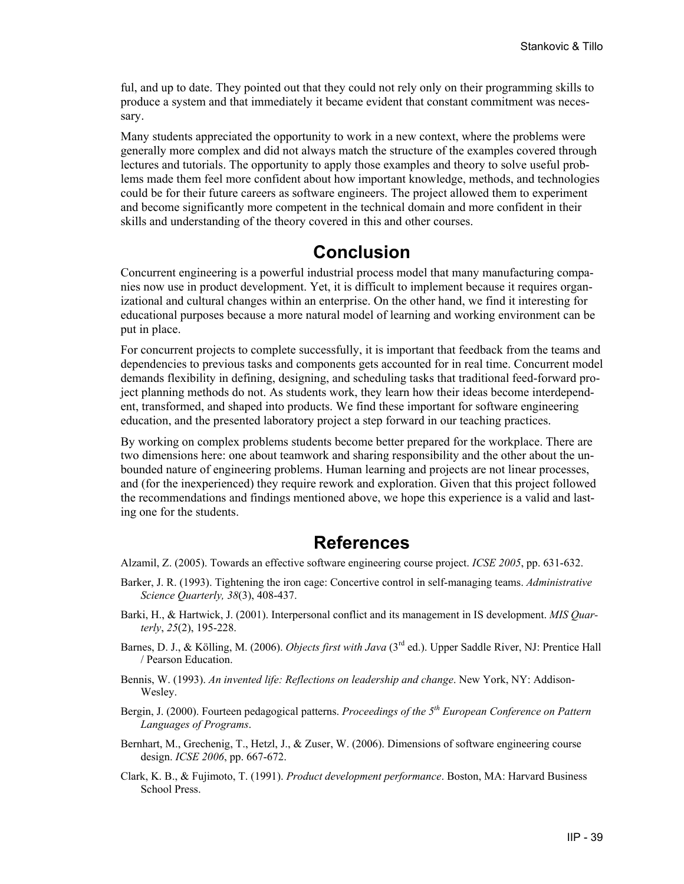ful, and up to date. They pointed out that they could not rely only on their programming skills to produce a system and that immediately it became evident that constant commitment was necessary.

Many students appreciated the opportunity to work in a new context, where the problems were generally more complex and did not always match the structure of the examples covered through lectures and tutorials. The opportunity to apply those examples and theory to solve useful problems made them feel more confident about how important knowledge, methods, and technologies could be for their future careers as software engineers. The project allowed them to experiment and become significantly more competent in the technical domain and more confident in their skills and understanding of the theory covered in this and other courses.

## **Conclusion**

Concurrent engineering is a powerful industrial process model that many manufacturing companies now use in product development. Yet, it is difficult to implement because it requires organizational and cultural changes within an enterprise. On the other hand, we find it interesting for educational purposes because a more natural model of learning and working environment can be put in place.

For concurrent projects to complete successfully, it is important that feedback from the teams and dependencies to previous tasks and components gets accounted for in real time. Concurrent model demands flexibility in defining, designing, and scheduling tasks that traditional feed-forward project planning methods do not. As students work, they learn how their ideas become interdependent, transformed, and shaped into products. We find these important for software engineering education, and the presented laboratory project a step forward in our teaching practices.

By working on complex problems students become better prepared for the workplace. There are two dimensions here: one about teamwork and sharing responsibility and the other about the unbounded nature of engineering problems. Human learning and projects are not linear processes, and (for the inexperienced) they require rework and exploration. Given that this project followed the recommendations and findings mentioned above, we hope this experience is a valid and lasting one for the students.

#### **References**

- Alzamil, Z. (2005). Towards an effective software engineering course project. *ICSE 2005*, pp. 631-632.
- Barker, J. R. (1993). Tightening the iron cage: Concertive control in self-managing teams. *Administrative Science Quarterly, 38*(3), 408-437.
- Barki, H., & Hartwick, J. (2001). Interpersonal conflict and its management in IS development. *MIS Quarterly*, *25*(2), 195-228.
- Barnes, D. J., & Kölling, M. (2006). *Objects first with Java* (3rd ed.). Upper Saddle River, NJ: Prentice Hall / Pearson Education.
- Bennis, W. (1993). *An invented life: Reflections on leadership and change*. New York, NY: Addison-Wesley.
- Bergin, J. (2000). Fourteen pedagogical patterns. *Proceedings of the 5th European Conference on Pattern Languages of Programs*.
- Bernhart, M., Grechenig, T., Hetzl, J., & Zuser, W. (2006). Dimensions of software engineering course design. *ICSE 2006*, pp. 667-672.
- Clark, K. B., & Fujimoto, T. (1991). *Product development performance*. Boston, MA: Harvard Business School Press.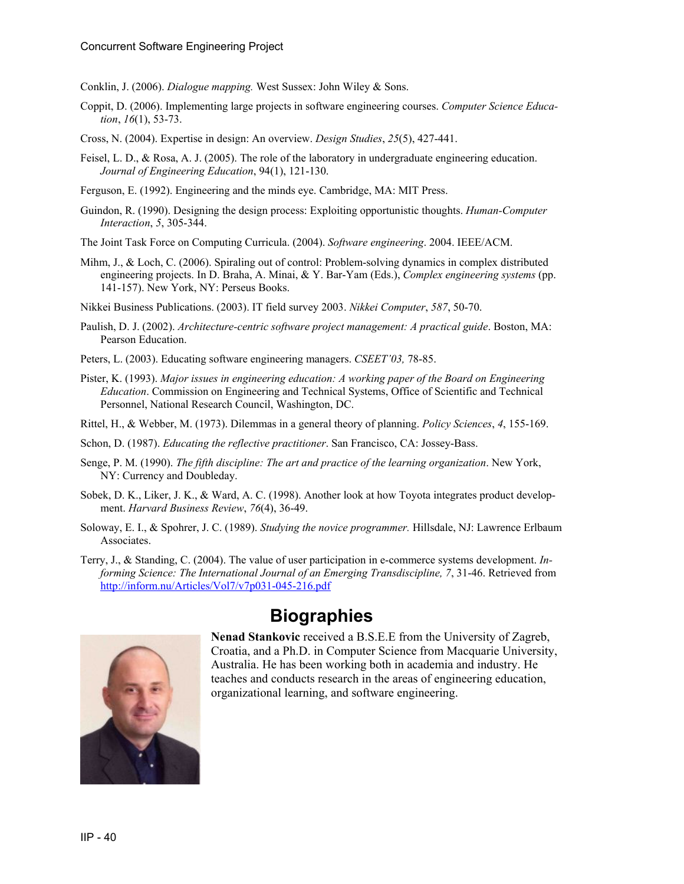Conklin, J. (2006). *Dialogue mapping.* West Sussex: John Wiley & Sons.

- Coppit, D. (2006). Implementing large projects in software engineering courses. *Computer Science Education*, *16*(1), 53-73.
- Cross, N. (2004). Expertise in design: An overview. *Design Studies*, *25*(5), 427-441.
- Feisel, L. D., & Rosa, A. J. (2005). The role of the laboratory in undergraduate engineering education. *Journal of Engineering Education*, 94(1), 121-130.
- Ferguson, E. (1992). Engineering and the minds eye. Cambridge, MA: MIT Press.
- Guindon, R. (1990). Designing the design process: Exploiting opportunistic thoughts. *Human-Computer Interaction*, *5*, 305-344.
- The Joint Task Force on Computing Curricula. (2004). *Software engineering*. 2004. IEEE/ACM.
- Mihm, J., & Loch, C. (2006). Spiraling out of control: Problem-solving dynamics in complex distributed engineering projects. In D. Braha, A. Minai, & Y. Bar-Yam (Eds.), *Complex engineering systems* (pp. 141-157). New York, NY: Perseus Books.
- Nikkei Business Publications. (2003). IT field survey 2003. *Nikkei Computer*, *587*, 50-70.
- Paulish, D. J. (2002). *Architecture-centric software project management: A practical guide*. Boston, MA: Pearson Education.
- Peters, L. (2003). Educating software engineering managers. *CSEET'03,* 78-85.
- Pister, K. (1993). *Major issues in engineering education: A working paper of the Board on Engineering Education*. Commission on Engineering and Technical Systems, Office of Scientific and Technical Personnel, National Research Council, Washington, DC.
- Rittel, H., & Webber, M. (1973). Dilemmas in a general theory of planning. *Policy Sciences*, *4*, 155-169.
- Schon, D. (1987). *Educating the reflective practitioner*. San Francisco, CA: Jossey-Bass.
- Senge, P. M. (1990). *The fifth discipline: The art and practice of the learning organization*. New York, NY: Currency and Doubleday.
- Sobek, D. K., Liker, J. K., & Ward, A. C. (1998). Another look at how Toyota integrates product development. *Harvard Business Review*, *76*(4), 36-49.
- Soloway, E. I., & Spohrer, J. C. (1989). *Studying the novice programmer.* Hillsdale, NJ: Lawrence Erlbaum Associates.
- Terry, J., & Standing, C. (2004). The value of user participation in e-commerce systems development. *Informing Science: The International Journal of an Emerging Transdiscipline, 7*, 31-46. Retrieved from <http://inform.nu/Articles/Vol7/v7p031-045-216.pdf>



#### **Biographies**

**Nenad Stankovic** received a B.S.E.E from the University of Zagreb, Croatia, and a Ph.D. in Computer Science from Macquarie University, Australia. He has been working both in academia and industry. He teaches and conducts research in the areas of engineering education, organizational learning, and software engineering.